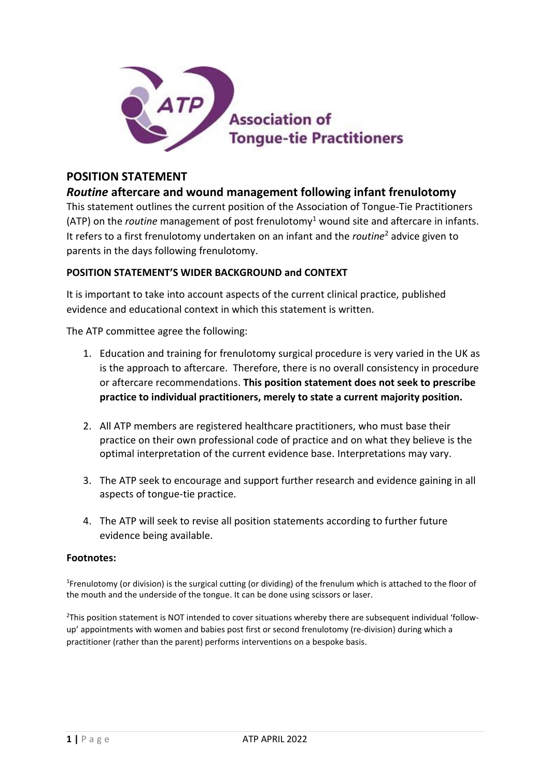

# **POSITION STATEMENT**

# *Routine* **aftercare and wound management following infant frenulotomy**

This statement outlines the current position of the Association of Tongue-Tie Practitioners (ATP) on the *routine* management of post frenulotomy<sup>1</sup> wound site and aftercare in infants. It refers to a first frenulotomy undertaken on an infant and the *routine*<sup>2</sup> advice given to parents in the days following frenulotomy.

### **POSITION STATEMENT'S WIDER BACKGROUND and CONTEXT**

It is important to take into account aspects of the current clinical practice, published evidence and educational context in which this statement is written.

The ATP committee agree the following:

- 1. Education and training for frenulotomy surgical procedure is very varied in the UK as is the approach to aftercare. Therefore, there is no overall consistency in procedure or aftercare recommendations. **This position statement does not seek to prescribe practice to individual practitioners, merely to state a current majority position.**
- 2. All ATP members are registered healthcare practitioners, who must base their practice on their own professional code of practice and on what they believe is the optimal interpretation of the current evidence base. Interpretations may vary.
- 3. The ATP seek to encourage and support further research and evidence gaining in all aspects of tongue-tie practice.
- 4. The ATP will seek to revise all position statements according to further future evidence being available.

#### **Footnotes:**

<sup>1</sup>Frenulotomy (or division) is the surgical cutting (or dividing) of the frenulum which is attached to the floor of the mouth and the underside of the tongue. It can be done using scissors or laser.

<sup>2</sup>This position statement is NOT intended to cover situations whereby there are subsequent individual 'followup' appointments with women and babies post first or second frenulotomy (re-division) during which a practitioner (rather than the parent) performs interventions on a bespoke basis.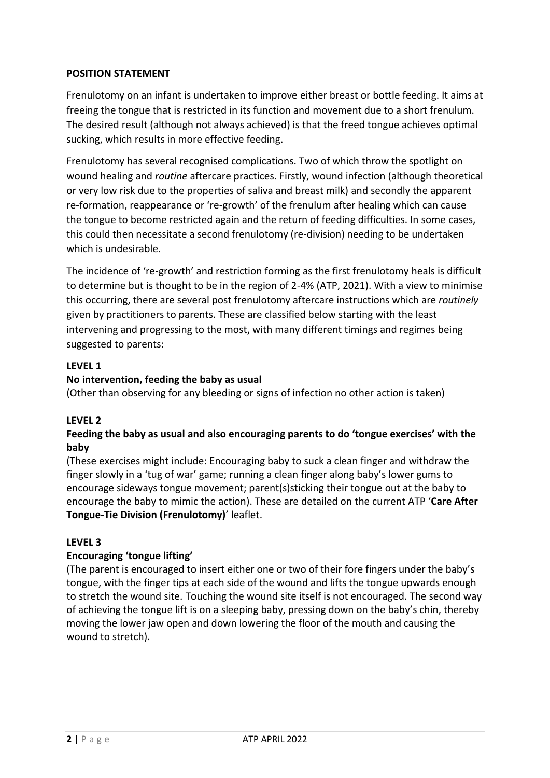### **POSITION STATEMENT**

Frenulotomy on an infant is undertaken to improve either breast or bottle feeding. It aims at freeing the tongue that is restricted in its function and movement due to a short frenulum. The desired result (although not always achieved) is that the freed tongue achieves optimal sucking, which results in more effective feeding.

Frenulotomy has several recognised complications. Two of which throw the spotlight on wound healing and *routine* aftercare practices. Firstly, wound infection (although theoretical or very low risk due to the properties of saliva and breast milk) and secondly the apparent re-formation, reappearance or 're-growth' of the frenulum after healing which can cause the tongue to become restricted again and the return of feeding difficulties. In some cases, this could then necessitate a second frenulotomy (re-division) needing to be undertaken which is undesirable.

The incidence of 're-growth' and restriction forming as the first frenulotomy heals is difficult to determine but is thought to be in the region of 2-4% (ATP, 2021). With a view to minimise this occurring, there are several post frenulotomy aftercare instructions which are *routinely* given by practitioners to parents. These are classified below starting with the least intervening and progressing to the most, with many different timings and regimes being suggested to parents:

## **LEVEL 1**

### **No intervention, feeding the baby as usual**

(Other than observing for any bleeding or signs of infection no other action is taken)

## **LEVEL 2**

## **Feeding the baby as usual and also encouraging parents to do 'tongue exercises' with the baby**

(These exercises might include: Encouraging baby to suck a clean finger and withdraw the finger slowly in a 'tug of war' game; running a clean finger along baby's lower gums to encourage sideways tongue movement; parent(s)sticking their tongue out at the baby to encourage the baby to mimic the action). These are detailed on the current ATP '**Care After Tongue-Tie Division (Frenulotomy)**' leaflet.

#### **LEVEL 3**

#### **Encouraging 'tongue lifting'**

(The parent is encouraged to insert either one or two of their fore fingers under the baby's tongue, with the finger tips at each side of the wound and lifts the tongue upwards enough to stretch the wound site. Touching the wound site itself is not encouraged. The second way of achieving the tongue lift is on a sleeping baby, pressing down on the baby's chin, thereby moving the lower jaw open and down lowering the floor of the mouth and causing the wound to stretch).